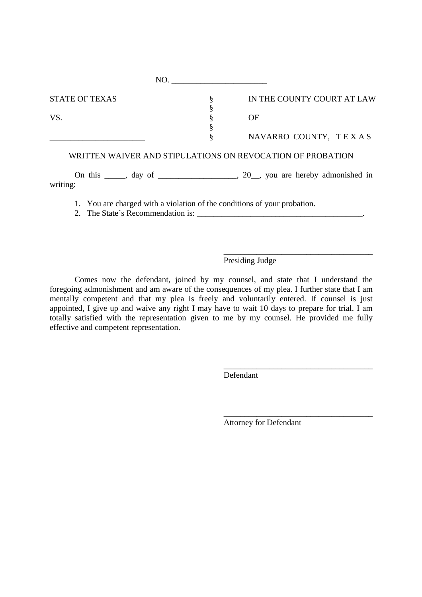| NO.                                                                    |   |                                                                                                                                             |
|------------------------------------------------------------------------|---|---------------------------------------------------------------------------------------------------------------------------------------------|
| <b>STATE OF TEXAS</b>                                                  | § | IN THE COUNTY COURT AT LAW                                                                                                                  |
|                                                                        |   |                                                                                                                                             |
| VS.                                                                    |   | <b>OF</b>                                                                                                                                   |
|                                                                        |   |                                                                                                                                             |
|                                                                        | § | NAVARRO COUNTY, TEXAS                                                                                                                       |
|                                                                        |   | WRITTEN WAIVER AND STIPULATIONS ON REVOCATION OF PROBATION<br>On this $\_\_\_\$ , day of $\_\_\_\_\_\_\$ , 20, you are hereby admonished in |
| writing:                                                               |   |                                                                                                                                             |
| 1 You are charged with a violation of the conditions of your probation |   |                                                                                                                                             |

1. You are charged with a violation of the conditions of your probation.

2. The State's Recommendation is:

Presiding Judge

\_\_\_\_\_\_\_\_\_\_\_\_\_\_\_\_\_\_\_\_\_\_\_\_\_\_\_\_\_\_\_\_\_\_\_\_

\_\_\_\_\_\_\_\_\_\_\_\_\_\_\_\_\_\_\_\_\_\_\_\_\_\_\_\_\_\_\_\_\_\_\_\_

\_\_\_\_\_\_\_\_\_\_\_\_\_\_\_\_\_\_\_\_\_\_\_\_\_\_\_\_\_\_\_\_\_\_\_\_

Comes now the defendant, joined by my counsel, and state that I understand the foregoing admonishment and am aware of the consequences of my plea. I further state that I am mentally competent and that my plea is freely and voluntarily entered. If counsel is just appointed, I give up and waive any right I may have to wait 10 days to prepare for trial. I am totally satisfied with the representation given to me by my counsel. He provided me fully effective and competent representation.

Defendant

Attorney for Defendant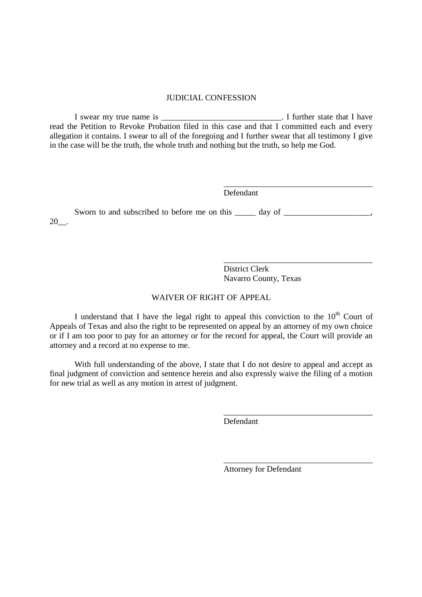## JUDICIAL CONFESSION

I swear my true name is \_\_\_\_\_\_\_\_\_\_\_\_\_\_\_\_\_\_\_\_\_\_\_\_\_\_\_\_\_. I further state that I have read the Petition to Revoke Probation filed in this case and that I committed each and every allegation it contains. I swear to all of the foregoing and I further swear that all testimony I give in the case will be the truth, the whole truth and nothing but the truth, so help me God.

Defendant

Sworn to and subscribed to before me on this \_\_\_\_\_ day of \_\_\_\_\_\_\_\_\_\_\_\_\_\_\_\_, 20\_\_.

> \_\_\_\_\_\_\_\_\_\_\_\_\_\_\_\_\_\_\_\_\_\_\_\_\_\_\_\_\_\_\_\_\_\_\_\_ District Clerk Navarro County, Texas

\_\_\_\_\_\_\_\_\_\_\_\_\_\_\_\_\_\_\_\_\_\_\_\_\_\_\_\_\_\_\_\_\_\_\_\_

## WAIVER OF RIGHT OF APPEAL

I understand that I have the legal right to appeal this conviction to the  $10<sup>th</sup>$  Court of Appeals of Texas and also the right to be represented on appeal by an attorney of my own choice or if I am too poor to pay for an attorney or for the record for appeal, the Court will provide an attorney and a record at no expense to me.

With full understanding of the above, I state that I do not desire to appeal and accept as final judgment of conviction and sentence herein and also expressly waive the filing of a motion for new trial as well as any motion in arrest of judgment.

Defendant

Attorney for Defendant

\_\_\_\_\_\_\_\_\_\_\_\_\_\_\_\_\_\_\_\_\_\_\_\_\_\_\_\_\_\_\_\_\_\_\_\_

\_\_\_\_\_\_\_\_\_\_\_\_\_\_\_\_\_\_\_\_\_\_\_\_\_\_\_\_\_\_\_\_\_\_\_\_